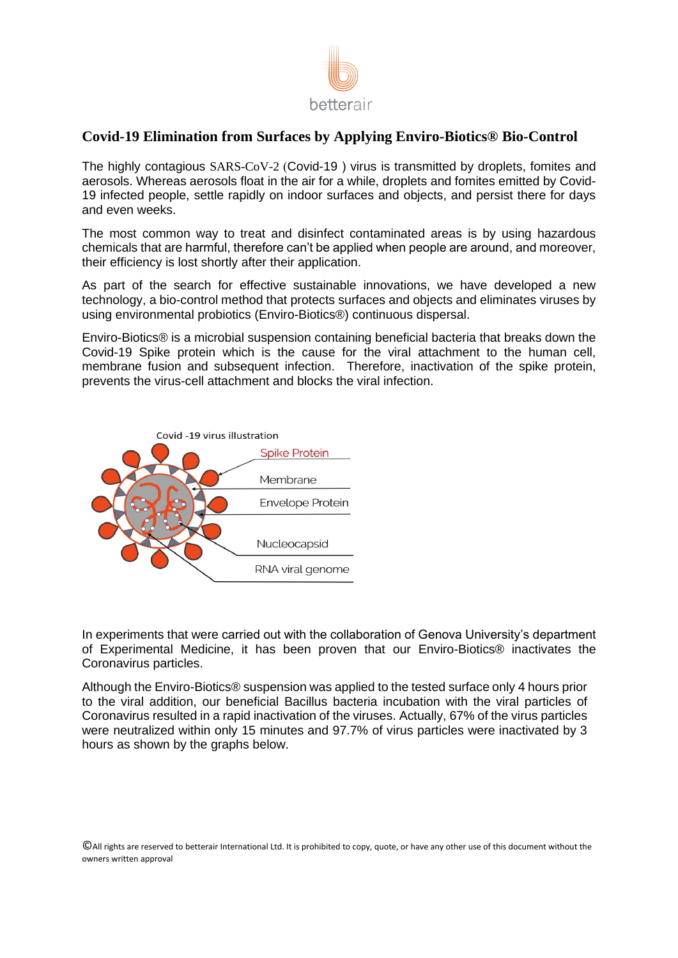

## **Covid-19 Elimination from Surfaces by Applying Enviro-Biotics® Bio-Control**

The highly contagious  $SARS-CoV-2$  (Covid-19) virus is transmitted by droplets, fomites and aerosols. Whereas aerosols float in the air for a while, droplets and fomites emitted by Covid-19 infected people, settle rapidly on indoor surfaces and objects, and persist there for days and even weeks.

The most common way to treat and disinfect contaminated areas is by using hazardous chemicals that are harmful, therefore can't be applied when people are around, and moreover, their efficiency is lost shortly after their application.

As part of the search for effective sustainable innovations, we have developed a new technology, a bio-control method that protects surfaces and objects and eliminates viruses by using environmental probiotics (Enviro-Biotics®) continuous dispersal.

Enviro-Biotics® is a microbial suspension containing beneficial bacteria that breaks down the Covid-19 Spike protein which is the cause for the viral attachment to the human cell, membrane fusion and subsequent infection. Therefore, inactivation of the spike protein, prevents the virus-cell attachment and blocks the viral infection.



In experiments that were carried out with the collaboration of Genova University's department of Experimental Medicine, it has been proven that our Enviro-Biotics® inactivates the Coronavirus particles.

Although the Enviro-Biotics® suspension was applied to the tested surface only 4 hours prior to the viral addition, our beneficial Bacillus bacteria incubation with the viral particles of Coronavirus resulted in a rapid inactivation of the viruses. Actually, 67% of the virus particles were neutralized within only 15 minutes and 97.7% of virus particles were inactivated by 3 hours as shown by the graphs below.

©All rights are reserved to betterair International Ltd. It is prohibited to copy, quote, or have any other use of this document without the owners written approval